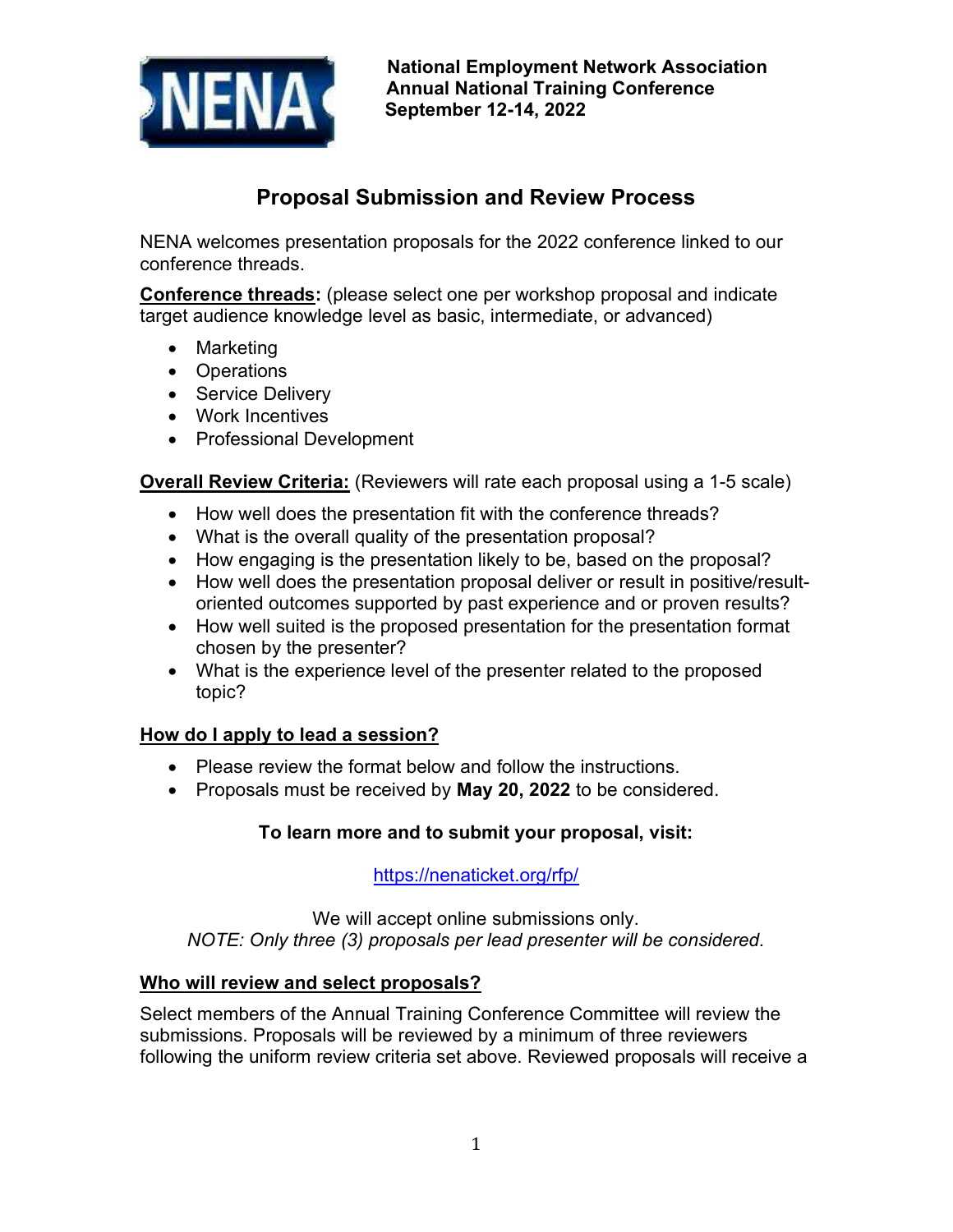

# **Proposal Submission and Review Process**

NENA welcomes presentation proposals for the 2022 conference linked to our conference threads.

**Conference threads:** (please select one per workshop proposal and indicate target audience knowledge level as basic, intermediate, or advanced)

- Marketing
- Operations
- Service Delivery
- Work Incentives
- Professional Development

**Overall Review Criteria:** (Reviewers will rate each proposal using a 1-5 scale)

- How well does the presentation fit with the conference threads?
- What is the overall quality of the presentation proposal?
- How engaging is the presentation likely to be, based on the proposal?
- How well does the presentation proposal deliver or result in positive/resultoriented outcomes supported by past experience and or proven results?
- How well suited is the proposed presentation for the presentation format chosen by the presenter?
- What is the experience level of the presenter related to the proposed topic?

## **How do I apply to lead a session?**

- Please review the format below and follow the instructions.
- Proposals must be received by **May 20, 2022** to be considered.

## **To learn more and to submit your proposal, visit:**

https://nenaticket.org/rfp/

We will accept online submissions only. *NOTE: Only three (3) proposals per lead presenter will be considered.* 

#### **Who will review and select proposals?**

Select members of the Annual Training Conference Committee will review the submissions. Proposals will be reviewed by a minimum of three reviewers following the uniform review criteria set above. Reviewed proposals will receive a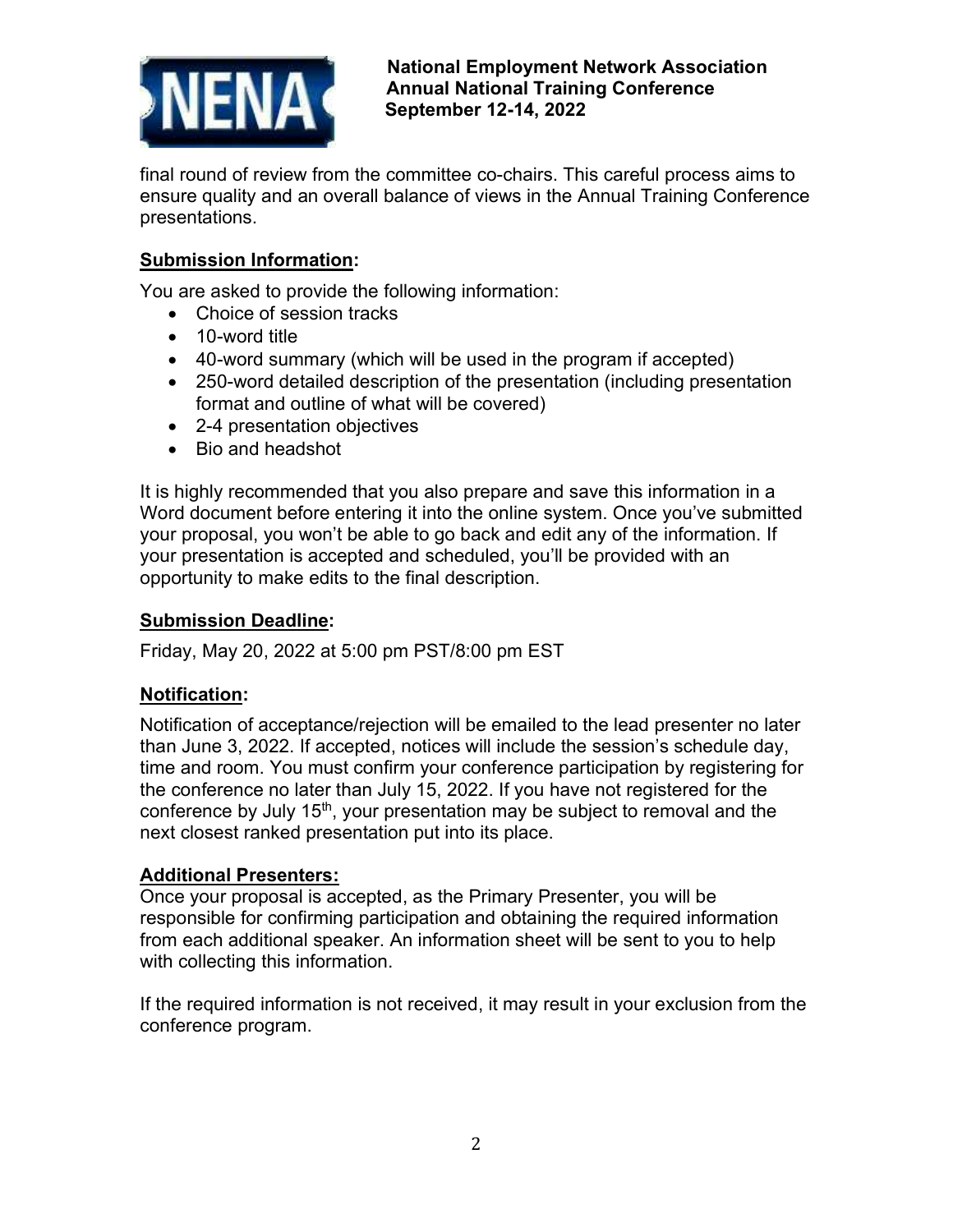

**National Employment Network Association Annual National Training Conference September 12-14, 2022** 

final round of review from the committee co-chairs. This careful process aims to ensure quality and an overall balance of views in the Annual Training Conference presentations.

## **Submission Information:**

You are asked to provide the following information:

- Choice of session tracks
- 10-word title
- 40-word summary (which will be used in the program if accepted)
- 250-word detailed description of the presentation (including presentation format and outline of what will be covered)
- 2-4 presentation objectives
- Bio and headshot

It is highly recommended that you also prepare and save this information in a Word document before entering it into the online system. Once you've submitted your proposal, you won't be able to go back and edit any of the information. If your presentation is accepted and scheduled, you'll be provided with an opportunity to make edits to the final description.

#### **Submission Deadline:**

Friday, May 20, 2022 at 5:00 pm PST/8:00 pm EST

#### **Notification:**

Notification of acceptance/rejection will be emailed to the lead presenter no later than June 3, 2022. If accepted, notices will include the session's schedule day, time and room. You must confirm your conference participation by registering for the conference no later than July 15, 2022. If you have not registered for the conference by July 15<sup>th</sup>, your presentation may be subject to removal and the next closest ranked presentation put into its place.

#### **Additional Presenters:**

Once your proposal is accepted, as the Primary Presenter, you will be responsible for confirming participation and obtaining the required information from each additional speaker. An information sheet will be sent to you to help with collecting this information.

If the required information is not received, it may result in your exclusion from the conference program.